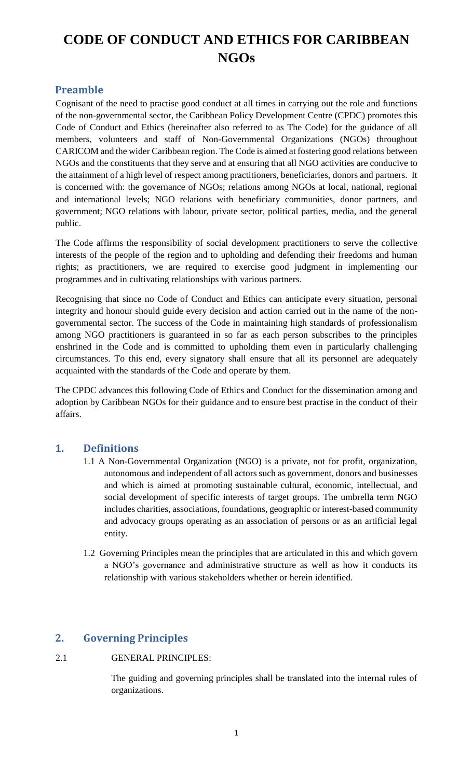# **CODE OF CONDUCT AND ETHICS FOR CARIBBEAN NGOs**

# **Preamble**

Cognisant of the need to practise good conduct at all times in carrying out the role and functions of the non-governmental sector, the Caribbean Policy Development Centre (CPDC) promotes this Code of Conduct and Ethics (hereinafter also referred to as The Code) for the guidance of all members, volunteers and staff of Non-Governmental Organizations (NGOs) throughout CARICOM and the wider Caribbean region. The Code is aimed at fostering good relations between NGOs and the constituents that they serve and at ensuring that all NGO activities are conducive to the attainment of a high level of respect among practitioners, beneficiaries, donors and partners. It is concerned with: the governance of NGOs; relations among NGOs at local, national, regional and international levels; NGO relations with beneficiary communities, donor partners, and government; NGO relations with labour, private sector, political parties, media, and the general public.

The Code affirms the responsibility of social development practitioners to serve the collective interests of the people of the region and to upholding and defending their freedoms and human rights; as practitioners, we are required to exercise good judgment in implementing our programmes and in cultivating relationships with various partners.

Recognising that since no Code of Conduct and Ethics can anticipate every situation, personal integrity and honour should guide every decision and action carried out in the name of the nongovernmental sector. The success of the Code in maintaining high standards of professionalism among NGO practitioners is guaranteed in so far as each person subscribes to the principles enshrined in the Code and is committed to upholding them even in particularly challenging circumstances. To this end, every signatory shall ensure that all its personnel are adequately acquainted with the standards of the Code and operate by them.

The CPDC advances this following Code of Ethics and Conduct for the dissemination among and adoption by Caribbean NGOs for their guidance and to ensure best practise in the conduct of their affairs.

## **1. Definitions**

- 1.1 A Non-Governmental Organization (NGO) is a private, not for profit, organization, autonomous and independent of all actors such as government, donors and businesses and which is aimed at promoting sustainable cultural, economic, intellectual, and social development of specific interests of target groups. The umbrella term NGO includes charities, associations, foundations, geographic or interest-based community and advocacy groups operating as an association of persons or as an artificial legal entity.
- 1.2 Governing Principles mean the principles that are articulated in this and which govern a NGO's governance and administrative structure as well as how it conducts its relationship with various stakeholders whether or herein identified.

# **2. Governing Principles**

## 2.1 GENERAL PRINCIPLES:

The guiding and governing principles shall be translated into the internal rules of organizations.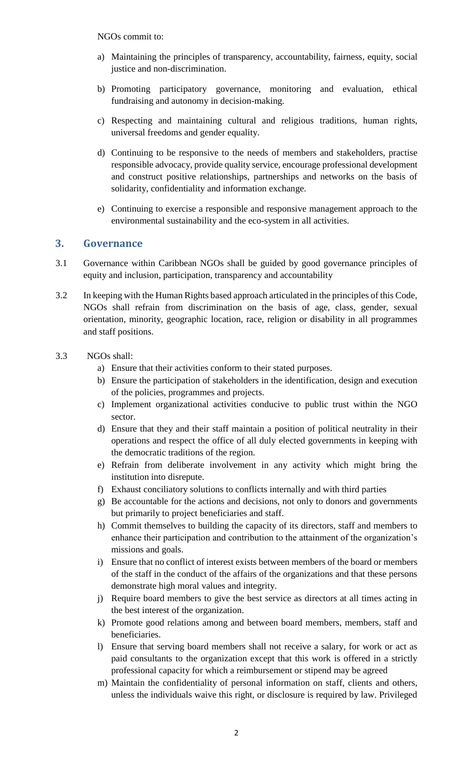NGOs commit to:

- a) Maintaining the principles of transparency, accountability, fairness, equity, social justice and non-discrimination.
- b) Promoting participatory governance, monitoring and evaluation, ethical fundraising and autonomy in decision-making.
- c) Respecting and maintaining cultural and religious traditions, human rights, universal freedoms and gender equality.
- d) Continuing to be responsive to the needs of members and stakeholders, practise responsible advocacy, provide quality service, encourage professional development and construct positive relationships, partnerships and networks on the basis of solidarity, confidentiality and information exchange.
- e) Continuing to exercise a responsible and responsive management approach to the environmental sustainability and the eco-system in all activities.

#### **3. Governance**

- 3.1 Governance within Caribbean NGOs shall be guided by good governance principles of equity and inclusion, participation, transparency and accountability
- 3.2 In keeping with the Human Rights based approach articulated in the principles of this Code, NGOs shall refrain from discrimination on the basis of age, class, gender, sexual orientation, minority, geographic location, race, religion or disability in all programmes and staff positions.
- 3.3 NGOs shall:
	- a) Ensure that their activities conform to their stated purposes.
	- b) Ensure the participation of stakeholders in the identification, design and execution of the policies, programmes and projects.
	- c) Implement organizational activities conducive to public trust within the NGO sector.
	- d) Ensure that they and their staff maintain a position of political neutrality in their operations and respect the office of all duly elected governments in keeping with the democratic traditions of the region.
	- e) Refrain from deliberate involvement in any activity which might bring the institution into disrepute.
	- f) Exhaust conciliatory solutions to conflicts internally and with third parties
	- g) Be accountable for the actions and decisions, not only to donors and governments but primarily to project beneficiaries and staff.
	- h) Commit themselves to building the capacity of its directors, staff and members to enhance their participation and contribution to the attainment of the organization's missions and goals.
	- i) Ensure that no conflict of interest exists between members of the board or members of the staff in the conduct of the affairs of the organizations and that these persons demonstrate high moral values and integrity.
	- j) Require board members to give the best service as directors at all times acting in the best interest of the organization.
	- k) Promote good relations among and between board members, members, staff and beneficiaries.
	- l) Ensure that serving board members shall not receive a salary, for work or act as paid consultants to the organization except that this work is offered in a strictly professional capacity for which a reimbursement or stipend may be agreed
	- m) Maintain the confidentiality of personal information on staff, clients and others, unless the individuals waive this right, or disclosure is required by law. Privileged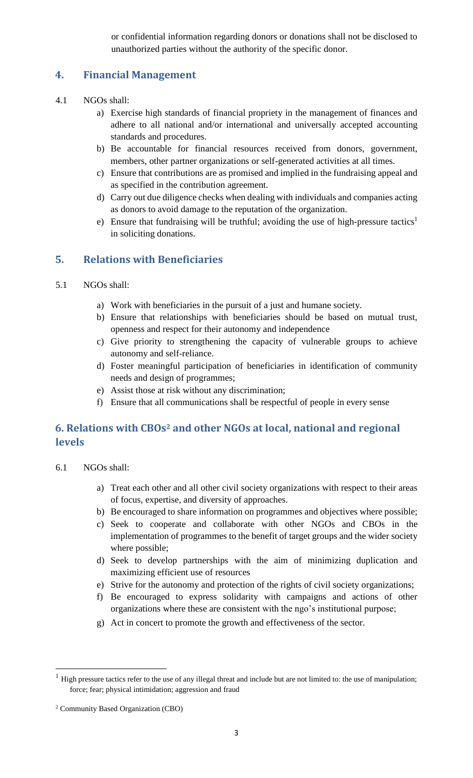or confidential information regarding donors or donations shall not be disclosed to unauthorized parties without the authority of the specific donor.

# **4. Financial Management**

- 4.1 NGOs shall:
	- a) Exercise high standards of financial propriety in the management of finances and adhere to all national and/or international and universally accepted accounting standards and procedures.
	- b) Be accountable for financial resources received from donors, government, members, other partner organizations or self-generated activities at all times.
	- c) Ensure that contributions are as promised and implied in the fundraising appeal and as specified in the contribution agreement.
	- d) Carry out due diligence checks when dealing with individuals and companies acting as donors to avoid damage to the reputation of the organization.
	- e) Ensure that fundraising will be truthful; avoiding the use of high-pressure tactics<sup>1</sup> in soliciting donations.

## **5. Relations with Beneficiaries**

- 5.1 NGOs shall:
	- a) Work with beneficiaries in the pursuit of a just and humane society.
	- b) Ensure that relationships with beneficiaries should be based on mutual trust, openness and respect for their autonomy and independence
	- c) Give priority to strengthening the capacity of vulnerable groups to achieve autonomy and self-reliance.
	- d) Foster meaningful participation of beneficiaries in identification of community needs and design of programmes;
	- e) Assist those at risk without any discrimination;
	- f) Ensure that all communications shall be respectful of people in every sense

# **6. Relations with CBOs<sup>2</sup> and other NGOs at local, national and regional levels**

- 6.1 NGOs shall:
	- a) Treat each other and all other civil society organizations with respect to their areas of focus, expertise, and diversity of approaches.
	- b) Be encouraged to share information on programmes and objectives where possible;
	- c) Seek to cooperate and collaborate with other NGOs and CBOs in the implementation of programmes to the benefit of target groups and the wider society where possible;
	- d) Seek to develop partnerships with the aim of minimizing duplication and maximizing efficient use of resources
	- e) Strive for the autonomy and protection of the rights of civil society organizations;
	- f) Be encouraged to express solidarity with campaigns and actions of other organizations where these are consistent with the ngo's institutional purpose;
	- g) Act in concert to promote the growth and effectiveness of the sector.

 $\overline{a}$ 

 $1$  High pressure tactics refer to the use of any illegal threat and include but are not limited to: the use of manipulation; force; fear; physical intimidation; aggression and fraud

<sup>2</sup> Community Based Organization (CBO)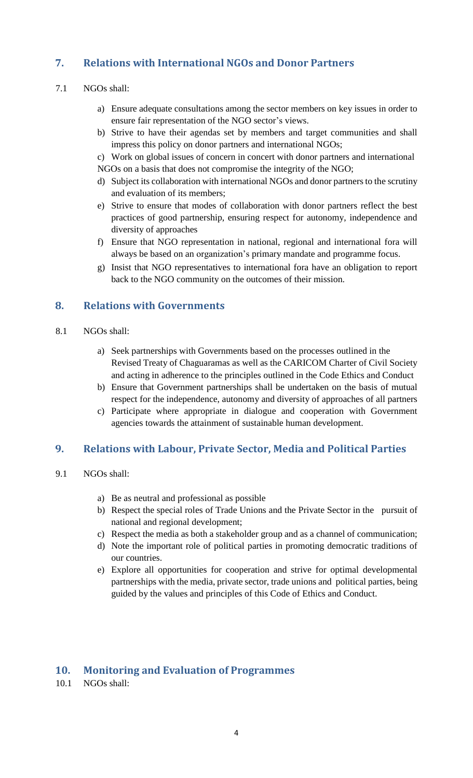# **7. Relations with International NGOs and Donor Partners**

## 7.1 NGOs shall:

- a) Ensure adequate consultations among the sector members on key issues in order to ensure fair representation of the NGO sector's views.
- b) Strive to have their agendas set by members and target communities and shall impress this policy on donor partners and international NGOs;
- c) Work on global issues of concern in concert with donor partners and international NGOs on a basis that does not compromise the integrity of the NGO;
- d) Subject its collaboration with international NGOs and donor partners to the scrutiny and evaluation of its members;
- e) Strive to ensure that modes of collaboration with donor partners reflect the best practices of good partnership, ensuring respect for autonomy, independence and diversity of approaches
- f) Ensure that NGO representation in national, regional and international fora will always be based on an organization's primary mandate and programme focus.
- g) Insist that NGO representatives to international fora have an obligation to report back to the NGO community on the outcomes of their mission.

## **8. Relations with Governments**

- 8.1 NGOs shall:
	- a) Seek partnerships with Governments based on the processes outlined in the Revised Treaty of Chaguaramas as well as the CARICOM Charter of Civil Society and acting in adherence to the principles outlined in the Code Ethics and Conduct
	- b) Ensure that Government partnerships shall be undertaken on the basis of mutual respect for the independence, autonomy and diversity of approaches of all partners
	- c) Participate where appropriate in dialogue and cooperation with Government agencies towards the attainment of sustainable human development.

## **9. Relations with Labour, Private Sector, Media and Political Parties**

- 9.1 NGOs shall:
	- a) Be as neutral and professional as possible
	- b) Respect the special roles of Trade Unions and the Private Sector in the pursuit of national and regional development;
	- c) Respect the media as both a stakeholder group and as a channel of communication;
	- d) Note the important role of political parties in promoting democratic traditions of our countries.
	- e) Explore all opportunities for cooperation and strive for optimal developmental partnerships with the media, private sector, trade unions and political parties, being guided by the values and principles of this Code of Ethics and Conduct.

### **10. Monitoring and Evaluation of Programmes**

10.1 NGOs shall: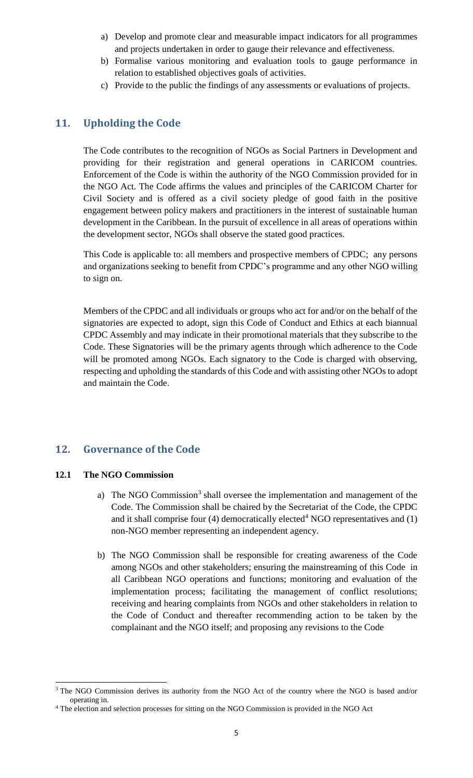- a) Develop and promote clear and measurable impact indicators for all programmes and projects undertaken in order to gauge their relevance and effectiveness.
- b) Formalise various monitoring and evaluation tools to gauge performance in relation to established objectives goals of activities.
- c) Provide to the public the findings of any assessments or evaluations of projects.

## **11. Upholding the Code**

The Code contributes to the recognition of NGOs as Social Partners in Development and providing for their registration and general operations in CARICOM countries. Enforcement of the Code is within the authority of the NGO Commission provided for in the NGO Act. The Code affirms the values and principles of the CARICOM Charter for Civil Society and is offered as a civil society pledge of good faith in the positive engagement between policy makers and practitioners in the interest of sustainable human development in the Caribbean. In the pursuit of excellence in all areas of operations within the development sector, NGOs shall observe the stated good practices.

This Code is applicable to: all members and prospective members of CPDC; any persons and organizations seeking to benefit from CPDC's programme and any other NGO willing to sign on.

Members of the CPDC and all individuals or groups who act for and/or on the behalf of the signatories are expected to adopt, sign this Code of Conduct and Ethics at each biannual CPDC Assembly and may indicate in their promotional materials that they subscribe to the Code. These Signatories will be the primary agents through which adherence to the Code will be promoted among NGOs. Each signatory to the Code is charged with observing, respecting and upholding the standards of this Code and with assisting other NGOs to adopt and maintain the Code.

### **12. Governance of the Code**

#### **12.1 The NGO Commission**

 $\overline{a}$ 

- a) The NGO Commission<sup>3</sup> shall oversee the implementation and management of the Code. The Commission shall be chaired by the Secretariat of the Code, the CPDC and it shall comprise four (4) democratically elected<sup>4</sup> NGO representatives and (1) non-NGO member representing an independent agency.
- b) The NGO Commission shall be responsible for creating awareness of the Code among NGOs and other stakeholders; ensuring the mainstreaming of this Code in all Caribbean NGO operations and functions; monitoring and evaluation of the implementation process; facilitating the management of conflict resolutions; receiving and hearing complaints from NGOs and other stakeholders in relation to the Code of Conduct and thereafter recommending action to be taken by the complainant and the NGO itself; and proposing any revisions to the Code

<sup>&</sup>lt;sup>3</sup> The NGO Commission derives its authority from the NGO Act of the country where the NGO is based and/or operating in.

<sup>&</sup>lt;sup>4</sup> The election and selection processes for sitting on the NGO Commission is provided in the NGO Act